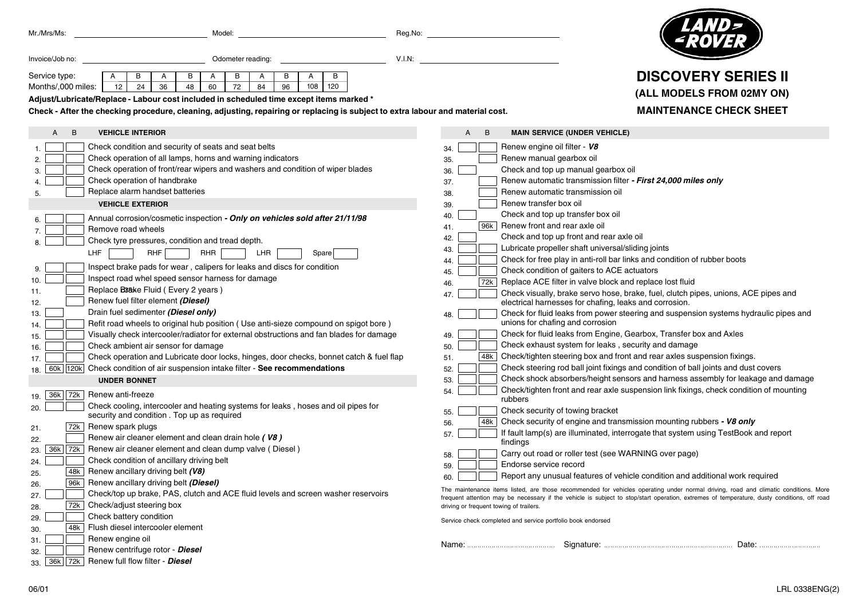Mr./Mrs/Ms:

Invoice/Job no:

Service type:

10.

11.

12.

13.

14.

15.

16.

17.

20.

21.

22.

24.

25.

| Service type:<br>В<br>В<br>В<br>В<br>Α<br>B<br>A<br>A<br>A<br>А<br>108<br>120<br>12<br>24<br>36<br>60<br>72<br>84<br>/lonths/.000 miles:<br>48<br>96<br><b>\djust/Lubricate/Replace - Labour cost included in scheduled time except items marked *</b><br>Check - After the checking procedure, cleaning, adjusting, repairing or replacing is subject to extra labour and material cost.                                                                                                                                                                                                                                                                                                                                                                                                                                                                                                                                                                                        | <b>DISCOVERY SERIES II</b><br>(ALL MODELS FROM 02MY ON)<br><b>MAINTENANCE CHECK SHEET</b>                                                                                                                                                                                                                                                                                                                                                                                                                                                                                                                                                                                                                                                                                                                                                                                                                                                                                                                                                                                                                                                     |
|----------------------------------------------------------------------------------------------------------------------------------------------------------------------------------------------------------------------------------------------------------------------------------------------------------------------------------------------------------------------------------------------------------------------------------------------------------------------------------------------------------------------------------------------------------------------------------------------------------------------------------------------------------------------------------------------------------------------------------------------------------------------------------------------------------------------------------------------------------------------------------------------------------------------------------------------------------------------------------|-----------------------------------------------------------------------------------------------------------------------------------------------------------------------------------------------------------------------------------------------------------------------------------------------------------------------------------------------------------------------------------------------------------------------------------------------------------------------------------------------------------------------------------------------------------------------------------------------------------------------------------------------------------------------------------------------------------------------------------------------------------------------------------------------------------------------------------------------------------------------------------------------------------------------------------------------------------------------------------------------------------------------------------------------------------------------------------------------------------------------------------------------|
| <b>VEHICLE INTERIOR</b><br>B<br>A                                                                                                                                                                                                                                                                                                                                                                                                                                                                                                                                                                                                                                                                                                                                                                                                                                                                                                                                                | <b>MAIN SERVICE (UNDER VEHICLE)</b><br>B<br>A                                                                                                                                                                                                                                                                                                                                                                                                                                                                                                                                                                                                                                                                                                                                                                                                                                                                                                                                                                                                                                                                                                 |
| Check condition and security of seats and seat belts<br>Check operation of all lamps, horns and warning indicators<br>2.<br>Check operation of front/rear wipers and washers and condition of wiper blades<br>3.<br>Check operation of handbrake<br>4.<br>Replace alarm handset batteries                                                                                                                                                                                                                                                                                                                                                                                                                                                                                                                                                                                                                                                                                        | Renew engine oil filter - <i>V8</i><br>Renew manual gearbox oil<br>35.<br>Check and top up manual gearbox oil<br>36.<br>Renew automatic transmission filter - First 24,000 miles only<br>37.<br>Renew automatic transmission oil<br>38.                                                                                                                                                                                                                                                                                                                                                                                                                                                                                                                                                                                                                                                                                                                                                                                                                                                                                                       |
| 5.<br><b>VEHICLE EXTERIOR</b>                                                                                                                                                                                                                                                                                                                                                                                                                                                                                                                                                                                                                                                                                                                                                                                                                                                                                                                                                    | Renew transfer box oil<br>39.                                                                                                                                                                                                                                                                                                                                                                                                                                                                                                                                                                                                                                                                                                                                                                                                                                                                                                                                                                                                                                                                                                                 |
| Annual corrosion/cosmetic inspection - Only on vehicles sold after 21/11/98<br>6.<br>Remove road wheels<br>7.<br>Check tyre pressures, condition and tread depth.<br>8.<br><b>RHF</b><br><b>LHF</b><br>RHR<br>LHR<br>Spare<br>Inspect brake pads for wear, calipers for leaks and discs for condition<br>9.<br>Inspect road whel speed sensor harness for damage<br>10.<br>Replace B38ke Fluid (Every 2 years)<br>11.<br>Renew fuel filter element (Diesel)<br>12.<br>Drain fuel sedimenter (Diesel only)<br>13.<br>Refit road wheels to original hub position (Use anti-sieze compound on spigot bore)<br>14.<br>Visually check intercooler/radiator for external obstructions and fan blades for damage<br>15.<br>Check ambient air sensor for damage<br>16.<br>Check operation and Lubricate door locks, hinges, door checks, bonnet catch & fuel flap<br>17.<br>60k 120k Check condition of air suspension intake filter - See recommendations<br>18.<br><b>UNDER BONNET</b> | Check and top up transfer box oil<br>40.<br>96k Renew front and rear axle oil<br>41.<br>Check and top up front and rear axle oil<br>42.<br>Lubricate propeller shaft universal/sliding joints<br>43.<br>Check for free play in anti-roll bar links and condition of rubber boots<br>44<br>Check condition of gaiters to ACE actuators<br>45<br>Replace ACE filter in valve block and replace lost fluid<br>72k l<br>46.<br>Check visually, brake servo hose, brake, fuel, clutch pipes, unions, ACE pipes and<br>47.<br>electrical harnesses for chafing, leaks and corrosion.<br>Check for fluid leaks from power steering and suspension systems hydraulic pipes and<br>48.<br>unions for chafing and corrosion<br>Check for fluid leaks from Engine, Gearbox, Transfer box and Axles<br>49.<br>Check exhaust system for leaks, security and damage<br>50.<br>Check/tighten steering box and front and rear axles suspension fixings.<br>48k<br>51.<br>Check steering rod ball joint fixings and condition of ball joints and dust covers<br>52.<br>Check shock absorbers/height sensors and harness assembly for leakage and damage<br>53. |
| Renew anti-freeze                                                                                                                                                                                                                                                                                                                                                                                                                                                                                                                                                                                                                                                                                                                                                                                                                                                                                                                                                                | Check/tighten front and rear axle suspension link fixings, check condition of mounting<br>54.                                                                                                                                                                                                                                                                                                                                                                                                                                                                                                                                                                                                                                                                                                                                                                                                                                                                                                                                                                                                                                                 |
| 36k 72k<br>19.<br>Check cooling, intercooler and heating systems for leaks, hoses and oil pipes for<br>20.<br>security and condition. Top up as required<br>72k   Renew spark plugs<br>21.<br>Renew air cleaner element and clean drain hole (V8)<br>22.<br>36k   72k   Renew air cleaner element and clean dump valve (Diesel)<br>23.<br>Check condition of ancillary driving belt<br>24.<br>Renew ancillary driving belt (V8)<br>48k  <br>25.<br>96k Renew ancillary driving belt (Diesel)<br>26.<br>Check/top up brake, PAS, clutch and ACE fluid levels and screen washer reservoirs<br>27.<br>72k   Check/adjust steering box<br>28.<br>Check battery condition<br>29.                                                                                                                                                                                                                                                                                                      | rubbers<br>Check security of towing bracket<br>55.<br>Check security of engine and transmission mounting rubbers - V8 only<br>48k<br>56.<br>If fault lamp(s) are illuminated, interrogate that system using TestBook and report<br>57.<br>findings<br>Carry out road or roller test (see WARNING over page)<br>58.<br>Endorse service record<br>59.<br>Report any unusual features of vehicle condition and additional work required<br>The maintenance items listed, are those recommended for vehicles operating under normal driving, road and climatic conditions. More<br>frequent attention may be necessary if the vehicle is subject to stop/start operation, extremes of temperature, dusty conditions, off roac<br>driving or frequent towing of trailers.                                                                                                                                                                                                                                                                                                                                                                          |
| 48k   Flush diesel intercooler element<br>30.                                                                                                                                                                                                                                                                                                                                                                                                                                                                                                                                                                                                                                                                                                                                                                                                                                                                                                                                    | Service check completed and service portfolio book endorsed                                                                                                                                                                                                                                                                                                                                                                                                                                                                                                                                                                                                                                                                                                                                                                                                                                                                                                                                                                                                                                                                                   |



Odometer reading: V.I.N:

# Renew air cleaner element and clean drain hole **( V8 )** <sub>23.</sub> | 36k || 72k | Renew air cleaner element and clean dump valve ( Diesel )

31.Renew engine oil

32.Renew centrifuge rotor - **Diesel**

33.36k 72k Renew full flow filter - **Diesel** Name: Signature: Date:

| <b>LANDE</b><br><b>EROVER</b> |  |  |
|-------------------------------|--|--|
|                               |  |  |
|                               |  |  |